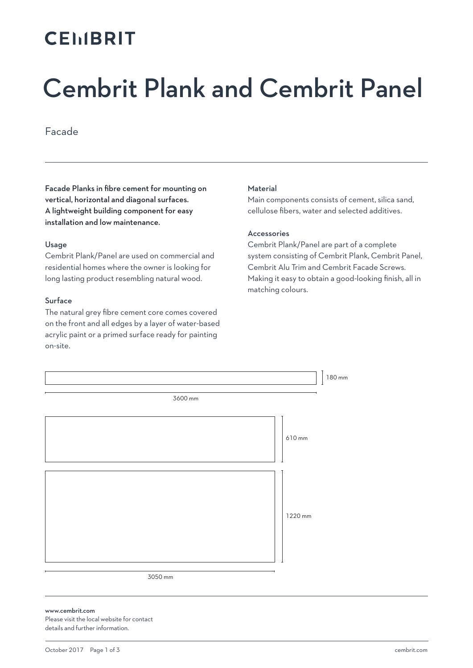## **CEMBRIT**

# Cembrit Plank and Cembrit Panel

Facade

Facade Planks in fibre cement for mounting on vertical, horizontal and diagonal surfaces. A lightweight building component for easy installation and low maintenance.

#### Usage

Cembrit Plank/Panel are used on commercial and residential homes where the owner is looking for long lasting product resembling natural wood.

#### Surface

The natural grey fibre cement core comes covered on the front and all edges by a layer of water-based acrylic paint or a primed surface ready for painting on-site.

#### Material

Main components consists of cement, silica sand, cellulose fibers, water and selected additives.

#### Accessories

Cembrit Plank/Panel are part of a complete system consisting of Cembrit Plank, Cembrit Panel, Cembrit Alu Trim and Cembrit Facade Screws. Making it easy to obtain a good-looking finish, all in matching colours.



www.cembrit.com Please visit the local website for contact details and further information.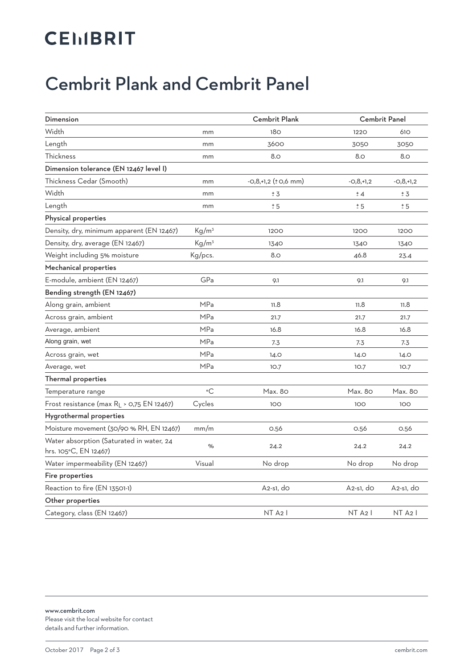# **CEMBRIT**

### Cembrit Plank and Cembrit Panel

| Dimension                                                         |                   | <b>Cembrit Plank</b>        | <b>Cembrit Panel</b> |                     |
|-------------------------------------------------------------------|-------------------|-----------------------------|----------------------|---------------------|
| Width                                                             | mm                | 18 <sub>O</sub>             | 1220                 | 610                 |
| Length                                                            | mm                | 3600                        | 3050                 | 3050                |
| Thickness                                                         | mm                | 8.0                         | 8.0                  | 8.0                 |
| Dimension tolerance (EN 12467 level I)                            |                   |                             |                      |                     |
| Thickness Cedar (Smooth)                                          | mm                | $-0,8,+1,2$ ( $\pm$ 0,6 mm) | $-0,8,+1,2$          | $-0,8,+1,2$         |
| Width                                                             | mm                | ± 3                         | ± 4                  | ± 3                 |
| Length                                                            | mm                | ± 5                         | ± 5                  | ± 5                 |
| Physical properties                                               |                   |                             |                      |                     |
| Density, dry, minimum apparent (EN 12467)                         | Kg/m <sup>3</sup> | 1200                        | 1200                 | 1200                |
| Density, dry, average (EN 12467)                                  | Kg/m <sup>3</sup> | 1340                        | 1340                 | 1340                |
| Weight including 5% moisture                                      | Kg/pcs.           | 8.0                         | 46.8                 | 23.4                |
| Mechanical properties                                             |                   |                             |                      |                     |
| E-module, ambient (EN 12467)                                      | GPa               | 9.1                         | 9.1                  | 9.1                 |
| Bending strength (EN 12467)                                       |                   |                             |                      |                     |
| Along grain, ambient                                              | MPa               | 11.8                        | 11.8                 | 11.8                |
| Across grain, ambient                                             | <b>MPa</b>        | 21.7                        | 21.7                 | 21.7                |
| Average, ambient                                                  | <b>MPa</b>        | 16.8                        | 16.8                 | 16.8                |
| Along grain, wet                                                  | <b>MPa</b>        | 7.3                         | 7.3                  | 7.3                 |
| Across grain, wet                                                 | <b>MPa</b>        | 14.0                        | 14.0                 | 14.0                |
| Average, wet                                                      | <b>MPa</b>        | 10.7                        | 10.7                 | 10.7                |
| Thermal properties                                                |                   |                             |                      |                     |
| Temperature range                                                 | $\circ$ C         | Max. 80                     | Max. 80              | Max. 80             |
| Frost resistance (max RL > 0,75 EN 12467)                         | Cycles            | 100                         | 100                  | 100                 |
| Hygrothermal properties                                           |                   |                             |                      |                     |
| Moisture movement (30/90 % RH, EN 12467)                          | mm/m              | 0.56                        | 0.56                 | 0.56                |
| Water absorption (Saturated in water, 24<br>hrs. 105°C, EN 12467) | %                 | 24.2                        | 24.2                 | 24.2                |
| Water impermeability (EN 12467)                                   | Visual            | No drop                     | No drop              | No drop             |
| Fire properties                                                   |                   |                             |                      |                     |
| Reaction to fire (EN 13501-1)                                     |                   | $A2-S1,$ do                 | A2-s1, do            | A2-s1, do           |
| Other properties                                                  |                   |                             |                      |                     |
| Category, class (EN 12467)                                        |                   | NT A2 I                     | NT A <sub>2</sub> I  | NT A <sub>2</sub> I |